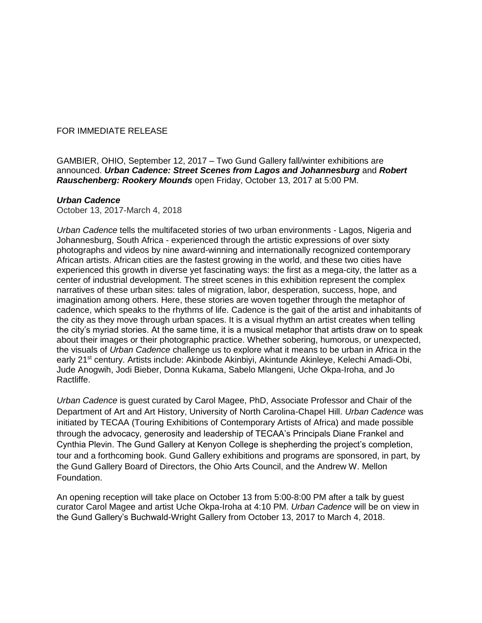## FOR IMMEDIATE RELEASE

GAMBIER, OHIO, September 12, 2017 – Two Gund Gallery fall/winter exhibitions are announced. *Urban Cadence: Street Scenes from Lagos and Johannesburg* and *Robert Rauschenberg: Rookery Mounds* open Friday, October 13, 2017 at 5:00 PM.

## *Urban Cadence*

October 13, 2017-March 4, 2018

*Urban Cadence* tells the multifaceted stories of two urban environments - Lagos, Nigeria and Johannesburg, South Africa - experienced through the artistic expressions of over sixty photographs and videos by nine award-winning and internationally recognized contemporary African artists. African cities are the fastest growing in the world, and these two cities have experienced this growth in diverse yet fascinating ways: the first as a mega-city, the latter as a center of industrial development. The street scenes in this exhibition represent the complex narratives of these urban sites: tales of migration, labor, desperation, success, hope, and imagination among others. Here, these stories are woven together through the metaphor of cadence, which speaks to the rhythms of life. Cadence is the gait of the artist and inhabitants of the city as they move through urban spaces. It is a visual rhythm an artist creates when telling the city's myriad stories. At the same time, it is a musical metaphor that artists draw on to speak about their images or their photographic practice. Whether sobering, humorous, or unexpected, the visuals of *Urban Cadence* challenge us to explore what it means to be urban in Africa in the early 21<sup>st</sup> century. Artists include: Akinbode Akinbiyi, Akintunde Akinleye, Kelechi Amadi-Obi, Jude Anogwih, Jodi Bieber, Donna Kukama, Sabelo Mlangeni, Uche Okpa-Iroha, and Jo Ractliffe.

*Urban Cadence* is guest curated by Carol Magee, PhD, Associate Professor and Chair of the Department of Art and Art History, University of North Carolina-Chapel Hill. *Urban Cadence* was initiated by TECAA (Touring Exhibitions of Contemporary Artists of Africa) and made possible through the advocacy, generosity and leadership of TECAA's Principals Diane Frankel and Cynthia Plevin. The Gund Gallery at Kenyon College is shepherding the project's completion, tour and a forthcoming book. Gund Gallery exhibitions and programs are sponsored, in part, by the Gund Gallery Board of Directors, the Ohio Arts Council, and the Andrew W. Mellon Foundation.

An opening reception will take place on October 13 from 5:00-8:00 PM after a talk by guest curator Carol Magee and artist Uche Okpa-Iroha at 4:10 PM. *Urban Cadence* will be on view in the Gund Gallery's Buchwald-Wright Gallery from October 13, 2017 to March 4, 2018.